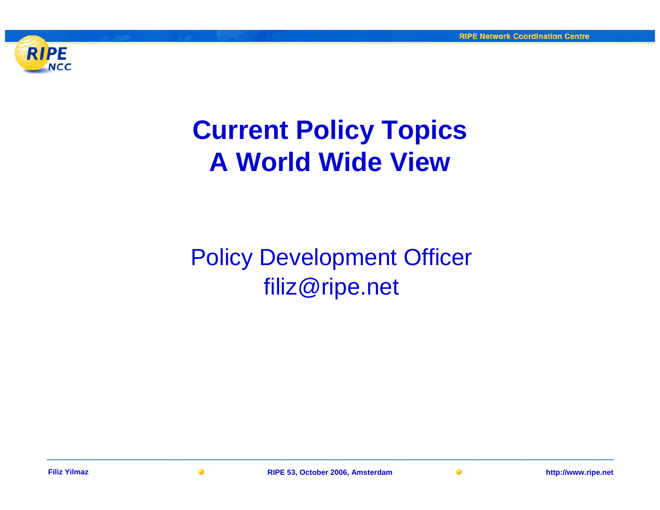

# **Current Policy Topics A World Wide View**

# Policy Development Officer filiz@ripe.net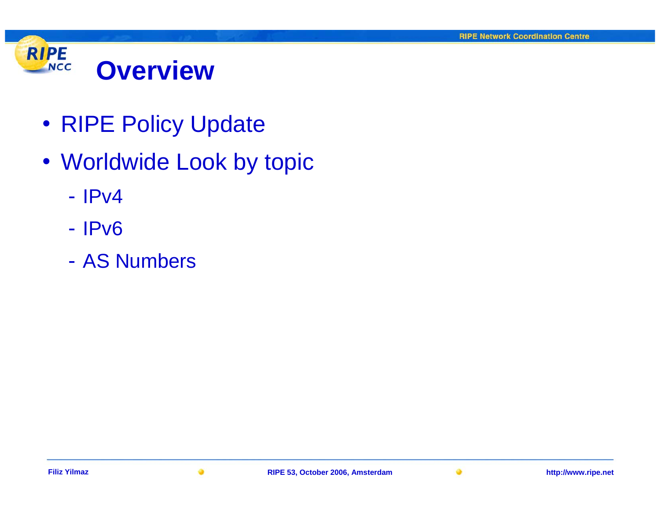

- RIPE Policy Update
- Worldwide Look by topic
	- IPv4
	- IPv6
	- AS Numbers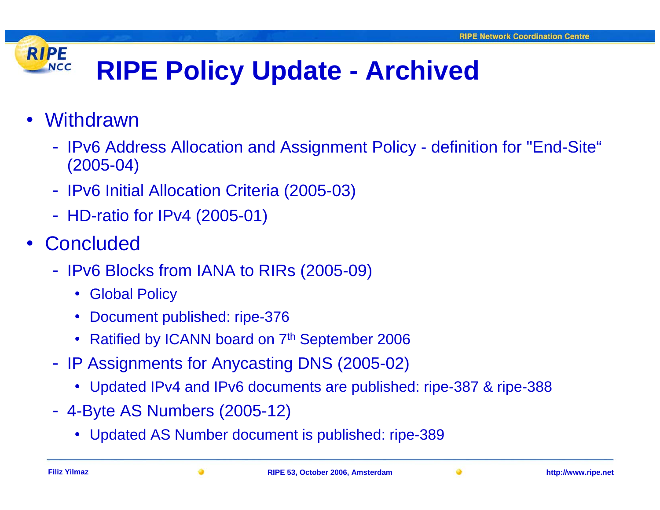### **RIPE RIPE Policy Update - Archived NCC**

- Withdrawn
	- IPv6 Address Allocation and Assignment Policy definition for "End-Site" (2005-04)
	- IPv6 Initial Allocation Criteria (2005-03)
	- HD-ratio for IPv4 (2005-01)
- Concluded
	- IPv6 Blocks from IANA to RIRs (2005-09)
		- Global Policy
		- $\bullet$ Document published: ripe-376
		- Ratified by ICANN board on 7<sup>th</sup> September 2006
	- IP Assignments for Anycasting DNS (2005-02)
		- Updated IPv4 and IPv6 documents are published: ripe-387 & ripe-388
	- 4-Byte AS Numbers (2005-12)
		- Updated AS Number document is published: ripe-389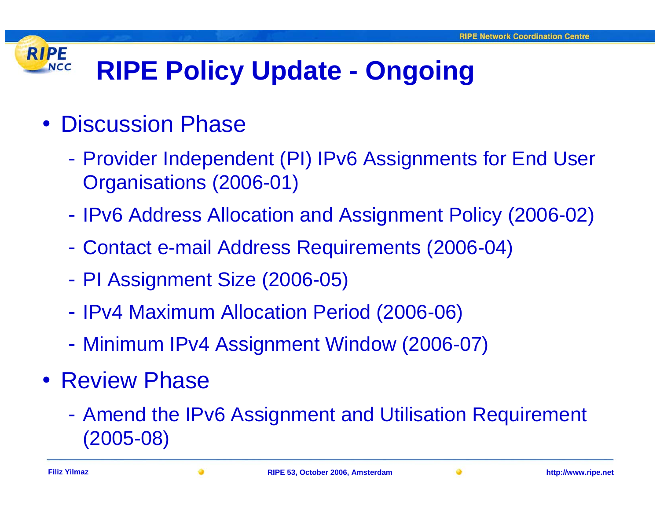#### **RIPE RIPE Policy Update - Ongoing NCC**

- Discussion Phase
	- - Provider Independent (PI) IPv6 Assignments for End User Organisations (2006-01)
	- -- IPv6 Address Allocation and Assignment Policy (2006-02)
	- -Contact e-mail Address Requirements (2006-04)
	- -PI Assignment Size (2006-05)
	- -- IPv4 Maximum Allocation Period (2006-06)
	- -Minimum IPv4 Assignment Window (2006-07)
- Review Phase
	- - Amend the IPv6 Assignment and Utilisation Requirement (2005-08)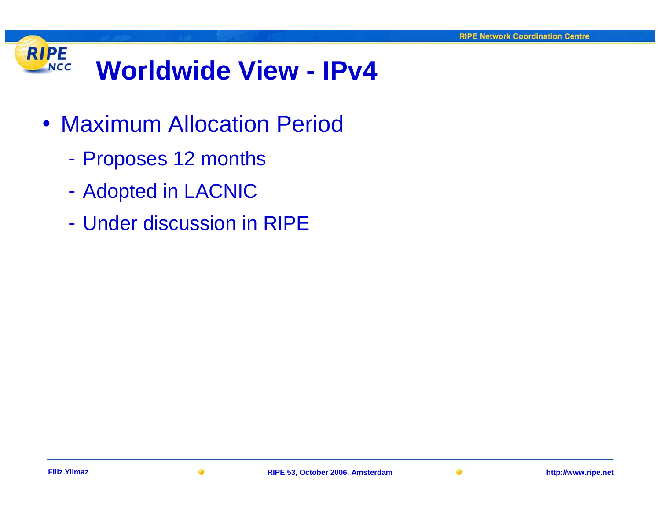### **RIPE Worldwide View - IPv4NCC**

- Maximum Allocation Period
	- -Proposes 12 months
	- -- Adopted in LACNIC
	- Under discussion in RIPE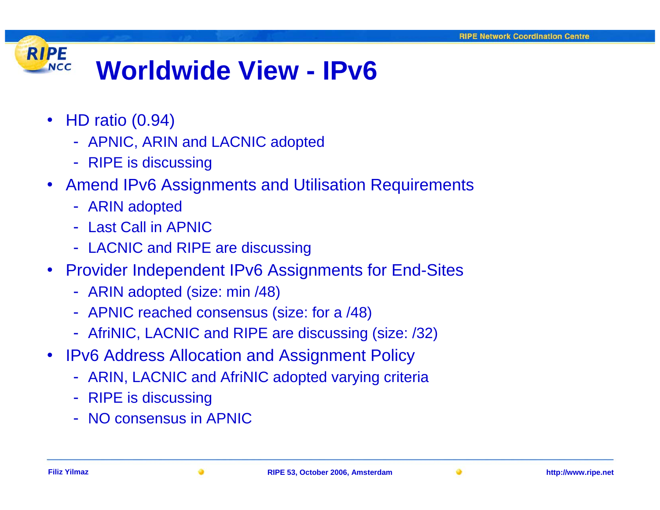#### **RIPE Worldwide View - IPv6 NCC**

- HD ratio (0.94)
	- APNIC, ARIN and LACNIC adopted
	- RIPE is discussing
- Amend IPv6 Assignments and Utilisation Requirements
	- ARIN adopted
	- Last Call in APNIC
	- LACNIC and RIPE are discussing
- Provider Independent IPv6 Assignments for End-Sites
	- ARIN adopted (size: min /48)
	- APNIC reached consensus (size: for a /48)
	- AfriNIC, LACNIC and RIPE are discussing (size: /32)
- IPv6 Address Allocation and Assignment Policy
	- ARIN, LACNIC and AfriNIC adopted varying criteria
	- RIPE is discussing
	- NO consensus in APNIC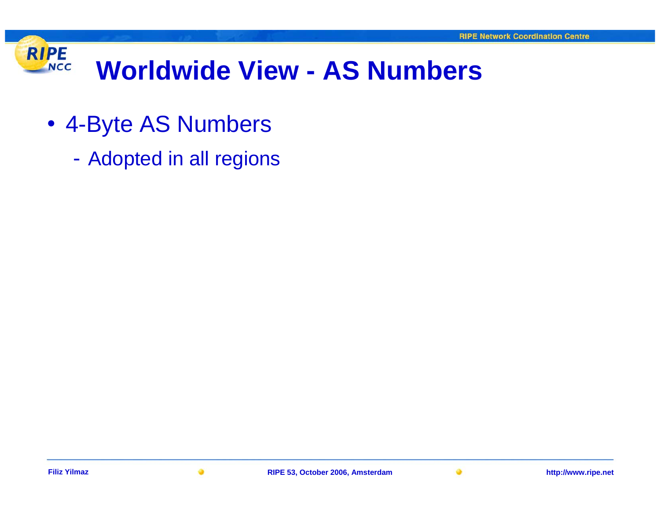#### **RIPE Worldwide View - AS Numbers NCC**

- 4-Byte AS Numbers
	- -Adopted in all regions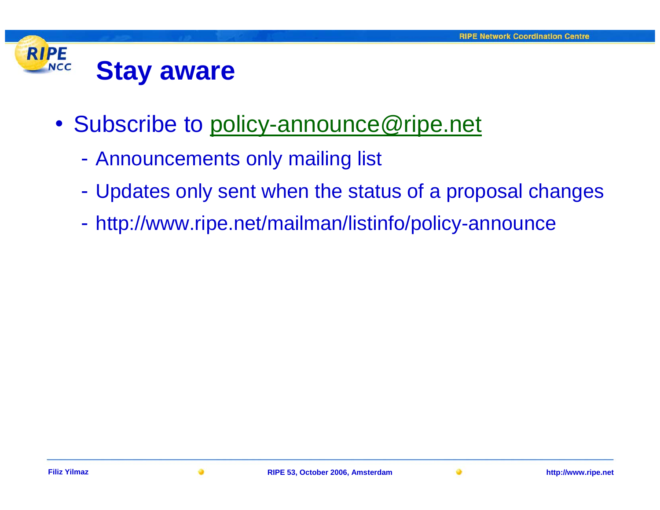#### **RIPE NCC Stay aware**

- Subscribe to [policy-announce@ripe.net](mailto:policy-announce@ripe.net)
	- Announcements only mailing list
	- Updates only sent when the status of a proposal changes
	- http://www.ripe.net/mailman/listinfo/policy-announce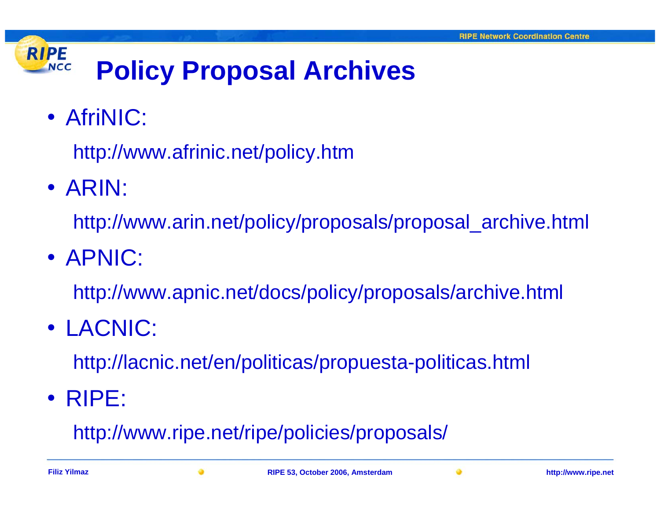## **RIPE Policy Proposal Archives NCC**

• AfriNIC:

http://www.afrinic.net/policy.htm

• ARIN:

http://www.arin.net/policy/proposals/proposal\_archive.html

• APNIC:

http://www.apnic.net/docs/policy/proposals/archive.html

• LACNIC:

http://lacnic.net/en/politicas/propuesta-politicas.html

• RIPE:

http://www.ripe.net/ripe/policies/proposals/